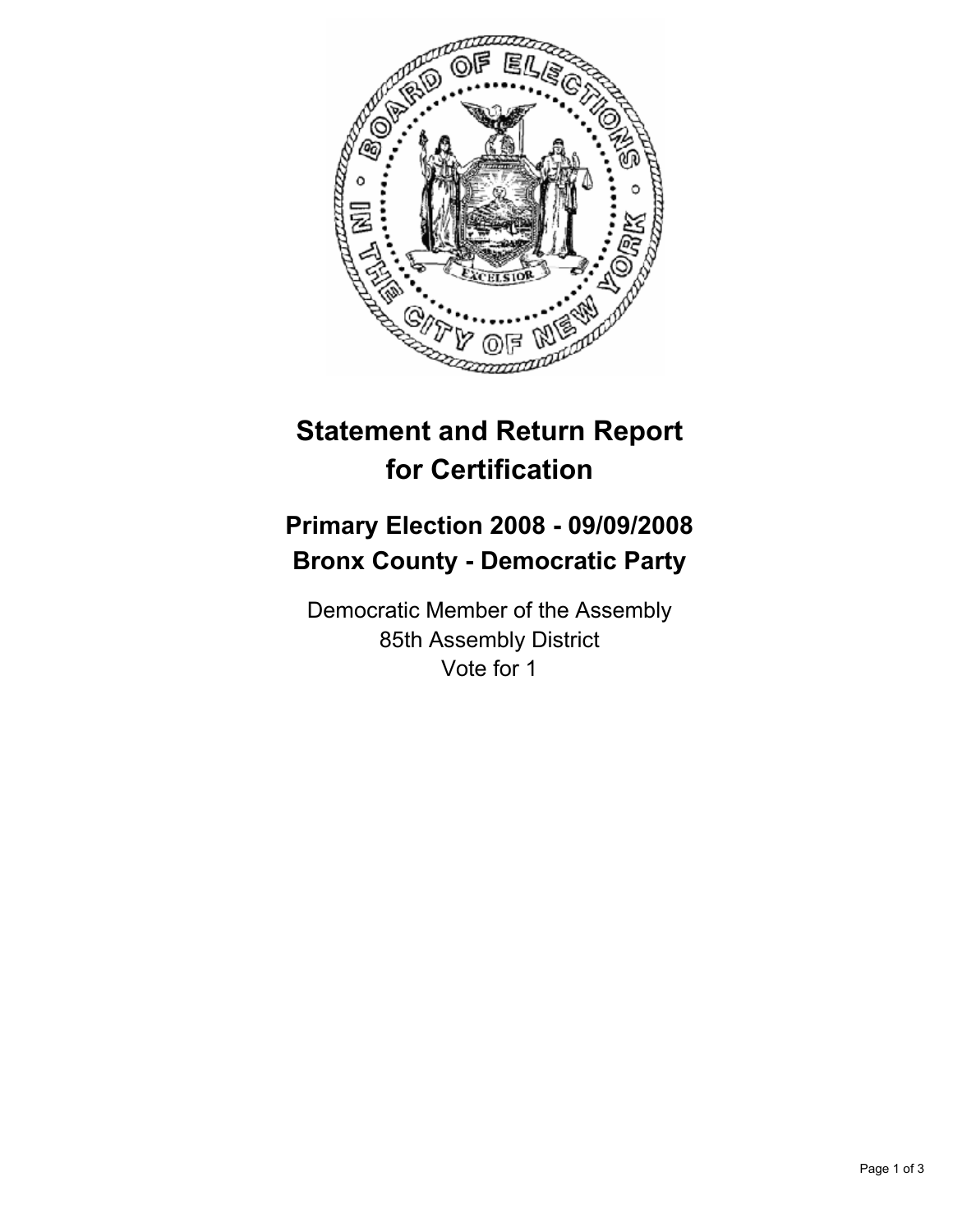

## **Statement and Return Report for Certification**

## **Primary Election 2008 - 09/09/2008 Bronx County - Democratic Party**

Democratic Member of the Assembly 85th Assembly District Vote for 1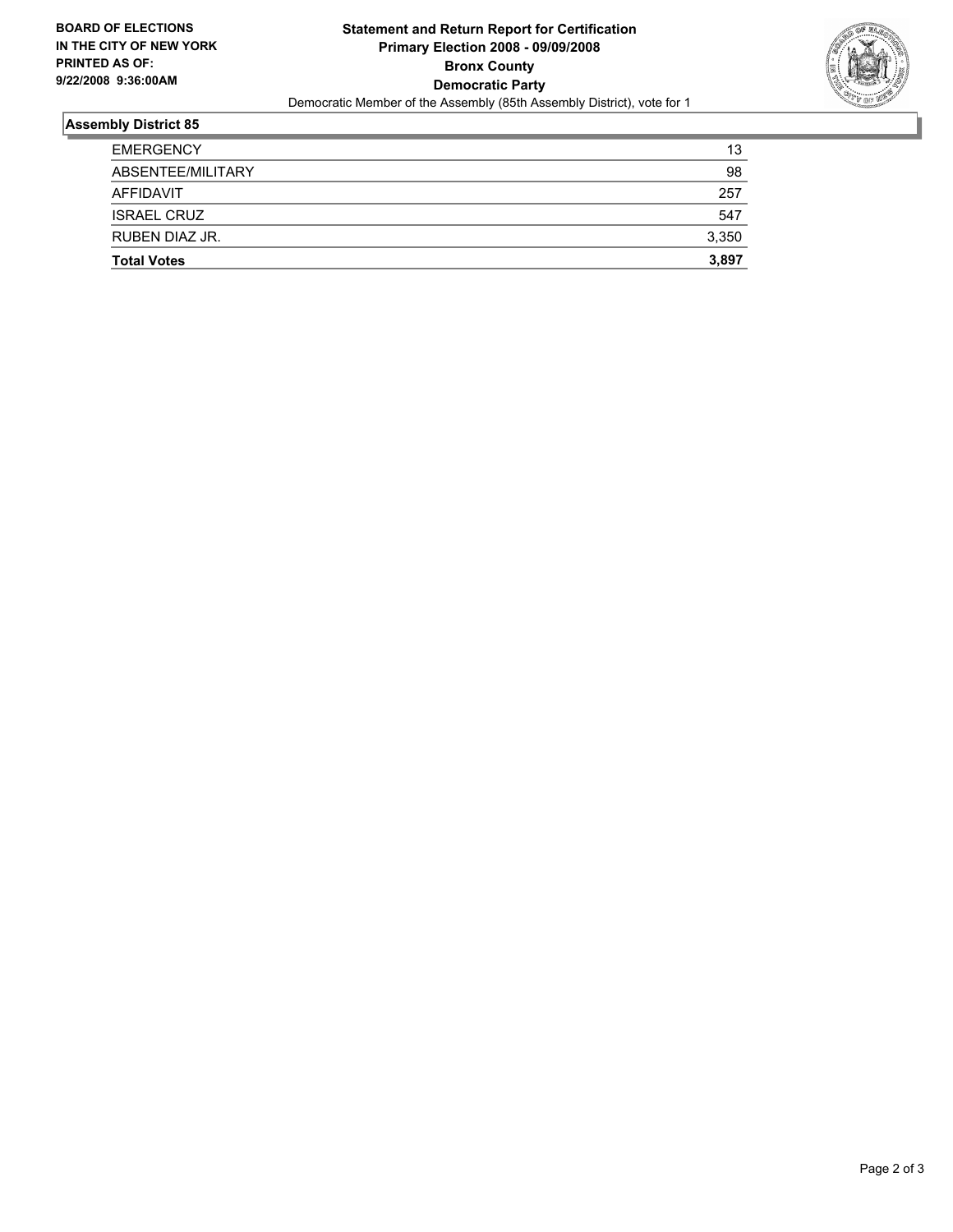

## **Assembly District 85**

| <b>Total Votes</b> | 3,897 |
|--------------------|-------|
| RUBEN DIAZ JR.     | 3,350 |
| <b>ISRAEL CRUZ</b> | 547   |
| AFFIDAVIT          | 257   |
| ABSENTEE/MILITARY  | 98    |
| <b>EMERGENCY</b>   | 13    |